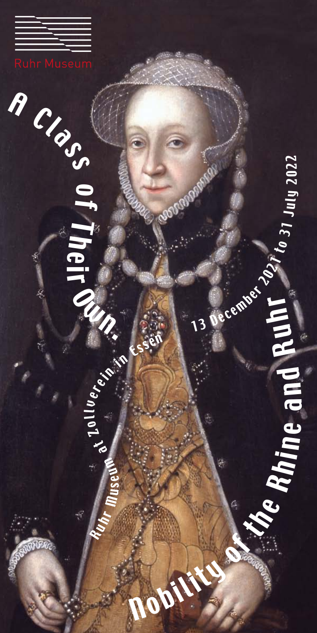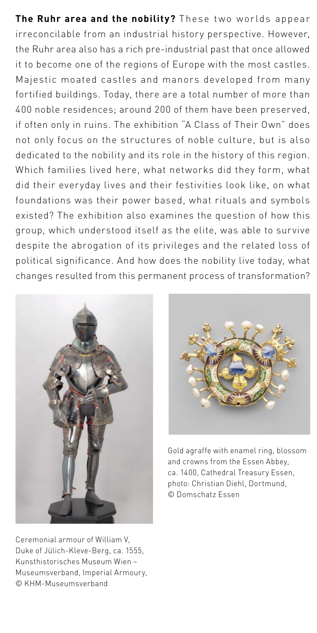**The Ruhr area and the nobility?** These two worlds appear irreconcilable from an industrial history perspective. However, the Ruhr area also has a rich pre-industrial past that once allowed it to become one of the regions of Europe with the most castles. Majestic moated castles and manors developed from many fortified buildings. Today, there are a total number of more than 400 noble residences; around 200 of them have been preserved, if often only in ruins. The exhibition "A Class of Their Own" does not only focus on the structures of noble culture, but is also dedicated to the nobility and its role in the history of this region. Which families lived here, what networks did they form, what did their everyday lives and their festivities look like, on what foundations was their power based, what rituals and symbols existed? The exhibition also examines the question of how this group, which understood itself as the elite, was able to survive despite the abrogation of its privileges and the related loss of political significance. And how does the nobility live today, what changes resulted from this permanent process of transformation?



Ceremonial armour of William V, Duke of Jülich-Kleve-Berg, ca. 1555, Kunsthistorisches Museum Wien – Museumsverband, Imperial Armoury, © KHM-Museumsverband



Gold agraffe with enamel ring, blossom and crowns from the Essen Abbey, ca. 1400, Cathedral Treasury Essen, photo: Christian Diehl, Dortmund, © Domschatz Essen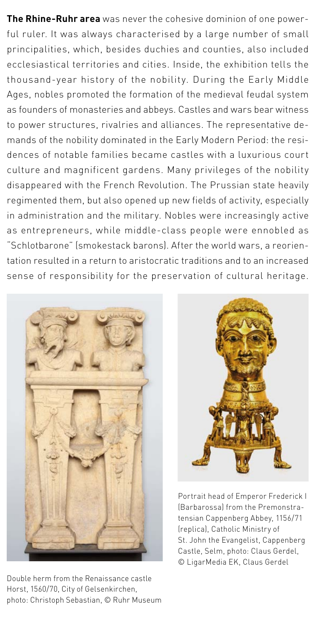**The Rhine-Ruhr area** was never the cohesive dominion of one powerful ruler. It was always characterised by a large number of small principalities, which, besides duchies and counties, also included ecclesiastical territories and cities. Inside, the exhibition tells the thousand-year history of the nobility. During the Early Middle Ages, nobles promoted the formation of the medieval feudal system as founders of monasteries and abbeys. Castles and wars bear witness to power structures, rivalries and alliances. The representative demands of the nobility dominated in the Early Modern Period: the residences of notable families became castles with a luxurious court culture and magnificent gardens. Many privileges of the nobility disappeared with the French Revolution. The Prussian state heavily regimented them, but also opened up new fields of activity, especially in administration and the military. Nobles were increasingly active as entrepreneurs, while middle-class people were ennobled as "Schlotbarone" (smokestack barons). After the world wars, a reorientation resulted in a return to aristocratic traditions and to an increased sense of responsibility for the preservation of cultural heritage.



Double herm from the Renaissance castle Horst, 1560/70, City of Gelsenkirchen, photo: Christoph Sebastian, © Ruhr Museum



Portrait head of Emperor Frederick I (Barbarossa) from the Premonstratensian Cappenberg Abbey, 1156/71 (replica), Catholic Ministry of St. John the Evangelist, Cappenberg Castle, Selm, photo: Claus Gerdel, © LigarMedia EK, Claus Gerdel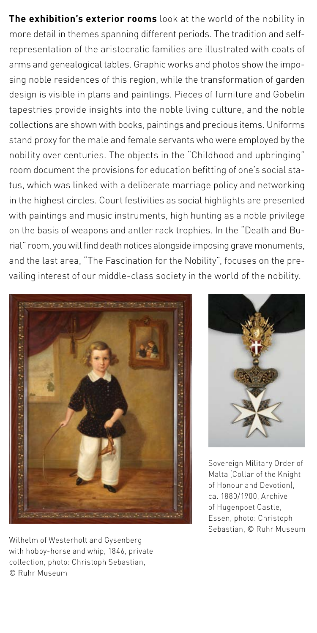**The exhibition's exterior rooms** look at the world of the nobility in more detail in themes spanning different periods. The tradition and selfrepresentation of the aristocratic families are illustrated with coats of arms and genealogical tables. Graphic works and photos show the imposing noble residences of this region, while the transformation of garden design is visible in plans and paintings. Pieces of furniture and Gobelin tapestries provide insights into the noble living culture, and the noble collections are shown with books, paintings and precious items. Uniforms stand proxy for the male and female servants who were employed by the nobility over centuries. The objects in the "Childhood and upbringing" room document the provisions for education befitting of one's social status, which was linked with a deliberate marriage policy and networking in the highest circles. Court festivities as social highlights are presented with paintings and music instruments, high hunting as a noble privilege on the basis of weapons and antler rack trophies. In the "Death and Burial" room, you will find death notices alongside imposing grave monuments, and the last area, "The Fascination for the Nobility", focuses on the prevailing interest of our middle-class society in the world of the nobility.



Wilhelm of Westerholt and Gysenberg with hobby-horse and whip, 1846, private collection, photo: Christoph Sebastian, © Ruhr Museum



Sovereign Military Order of Malta (Collar of the Knight of Honour and Devotion), ca. 1880 / 1900, Archive of Hugenpoet Castle, Essen, photo: Christoph Sebastian, © Ruhr Museum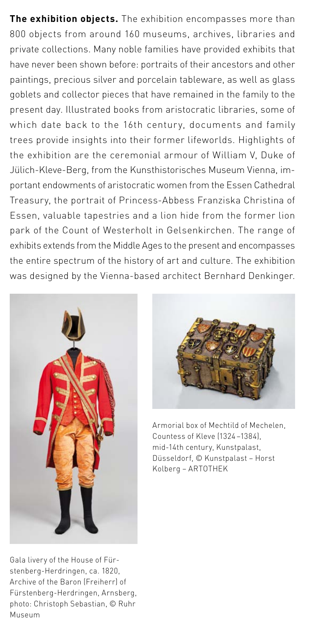**The exhibition objects.** The exhibition encompasses more than 800 objects from around 160 museums, archives, libraries and private collections. Many noble families have provided exhibits that have never been shown before: portraits of their ancestors and other paintings, precious silver and porcelain tableware, as well as glass goblets and collector pieces that have remained in the family to the present day. Illustrated books from aristocratic libraries, some of which date back to the 16th century, documents and family trees provide insights into their former lifeworlds. Highlights of the exhibition are the ceremonial armour of William V, Duke of Jülich-Kleve-Berg, from the Kunsthistorisches Museum Vienna, important endowments of aristocratic women from the Essen Cathedral Treasury, the portrait of Princess-Abbess Franziska Christina of Essen, valuable tapestries and a lion hide from the former lion park of the Count of Westerholt in Gelsenkirchen. The range of exhibits extends from the Middle Ages to the present and encompasses the entire spectrum of the history of art and culture. The exhibition was designed by the Vienna-based architect Bernhard Denkinger.



Gala livery of the House of Fürstenberg-Herdringen, ca. 1820, Archive of the Baron (Freiherr) of Fürstenberg-Herdringen, Arnsberg, photo: Christoph Sebastian, © Ruhr Museum



Armorial box of Mechtild of Mechelen, Countess of Kleve (1324 –1384), mid-14th century, Kunstpalast, Düsseldorf, © Kunstpalast – Horst Kolberg – ARTOTHEK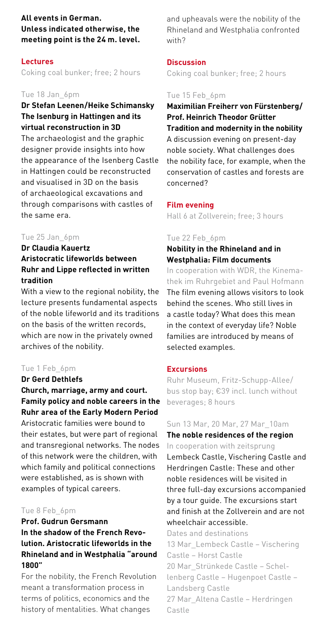#### **All events in German. Unless indicated otherwise, the meeting point is the 24 m. level.**

#### **Lectures**

Coking coal bunker; free; 2 hours

#### Tue 18 Jan\_6pm

### **Dr Stefan Leenen / Heike Schimansky The Isenburg in Hattingen and its virtual reconstruction in 3D**

The archaeologist and the graphic designer provide insights into how the appearance of the Isenberg Castle in Hattingen could be reconstructed and visualised in 3D on the basis of archaeological excavations and through comparisons with castles of the same era.

#### Tue 25 Jan\_6pm

### **Dr Claudia Kauertz Aristocratic lifeworlds between Ruhr and Lippe reflected in written tradition**

With a view to the regional nobility, the lecture presents fundamental aspects of the noble lifeworld and its traditions on the basis of the written records, which are now in the privately owned archives of the nobility.

### Tue 1 Feb\_6pm

### **Dr Gerd Dethlefs**

### **Church, marriage, army and court. Family policy and noble careers in the Ruhr area of the Early Modern Period**

Aristocratic families were bound to their estates, but were part of regional and transregional networks. The nodes of this network were the children, with which family and political connections were established, as is shown with examples of typical careers.

#### Tue 8 Feb\_6pm

### **Prof. Gudrun Gersmann In the shadow of the French Revolution. Aristocratic lifeworlds in the Rhineland and in Westphalia "around 1800"**

For the nobility, the French Revolution meant a transformation process in terms of politics, economics and the history of mentalities. What changes

and upheavals were the nobility of the Rhineland and Westphalia confronted with?

#### **Discussion**

Coking coal bunker; free; 2 hours

#### Tue 15 Feb\_6pm

### **Maximilian Freiherr von Fürstenberg / Prof. Heinrich Theodor Grütter Tradition and modernity in the nobility** A discussion evening on present-day noble society. What challenges does the nobility face, for example, when the conservation of castles and forests are concerned?

#### **Film evening**

Hall 6 at Zollverein; free; 3 hours

#### Tue 22 Feb\_6pm

### **Nobility in the Rhineland and in Westphalia: Film documents**

In cooperation with WDR, the Kinemathek im Ruhrgebiet and Paul Hofmann The film evening allows visitors to look behind the scenes. Who still lives in a castle today? What does this mean in the context of everyday life? Noble families are introduced by means of selected examples.

#### **Excursions**

Ruhr Museum, Fritz-Schupp-Allee / bus stop bay; €39 incl. lunch without beverages; 8 hours

#### Sun 13 Mar, 20 Mar, 27 Mar\_10am

**The noble residences of the region** In cooperation with zeitsprung Lembeck Castle, Vischering Castle and Herdringen Castle: These and other noble residences will be visited in three full-day excursions accompanied by a tour guide. The excursions start and finish at the Zollverein and are not wheelchair accessible.

Dates and destinations 13 Mar Lembeck Castle - Vischering Castle – Horst Castle 20 Mar\_Strünkede Castle – Schellenberg Castle – Hugenpoet Castle – Landsberg Castle 27 Mar\_Altena Castle – Herdringen Castle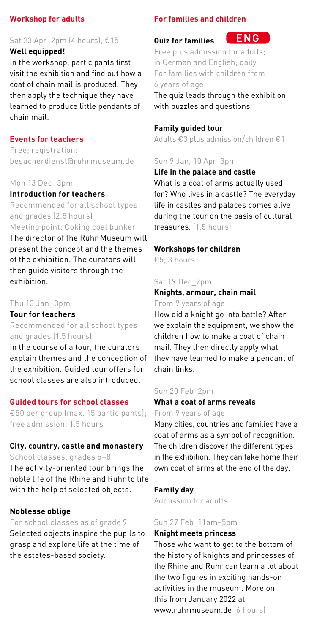#### **Workshop for adults**

#### Sat 23 Apr 2pm (4 hours), €15 **Well equipped!**

In the workshop, participants first visit the exhibition and find out how a coat of chain mail is produced. They then apply the technique they have learned to produce little pendants of chain mail.

#### **Events for teachers**

Free; registration: besucherdienst@ruhrmuseum.de

#### Mon 13 Dec\_3pm

#### **Introduction for teachers**

Recommended for all school types and grades (2.5 hours) Meeting point: Coking coal bunker

The director of the Ruhr Museum will present the concept and the themes of the exhibition. The curators will then guide visitors through the exhibition.

#### Thu 13 Jan\_3pm

#### **Tour for teachers**

Recommended for all school types and grades (1.5 hours)

In the course of a tour, the curators explain themes and the conception of the exhibition. Guided tour offers for school classes are also introduced.

### **Guided tours for school classes**

€50 per group (max. 15 participants); free admission: 1.5 hours

#### **City, country, castle and monastery**

School classes, grades 5–8 The activity-oriented tour brings the noble life of the Rhine and Ruhr to life with the help of selected objects.

#### **Noblesse oblige**

For school classes as of grade 9 Selected objects inspire the pupils to grasp and explore life at the time of the estates-based society.

#### **For families and children**

#### **Quiz for families**

**ENG**

Free plus admission for adults; in German and English; daily For families with children from 6 years of age

The quiz leads through the exhibition with puzzles and questions.

#### **Family guided tour**

Adults €3 plus admission/children €1

#### Sun 9 Jan, 10 Apr\_3pm

**Life in the palace and castle**

What is a coat of arms actually used for? Who lives in a castle? The everyday life in castles and palaces comes alive during the tour on the basis of cultural treasures. (1.5 hours)

#### **Workshops for children**

€5; 3 hours

Sat 19 Dec\_2pm

### **Knights, armour, chain mail**

From 9 years of age

How did a knight go into battle? After we explain the equipment, we show the children how to make a coat of chain mail. They then directly apply what they have learned to make a pendant of chain links.

#### Sun 20 Feb\_2pm

#### **What a coat of arms reveals**

From 9 years of age

Many cities, countries and families have a coat of arms as a symbol of recognition. The children discover the different types in the exhibition. They can take home their own coat of arms at the end of the day.

#### **Family day**

Admission for adults

### Sun 27 Feb\_11am–5pm

#### **Knight meets princess**

Those who want to get to the bottom of the history of knights and princesses of the Rhine and Ruhr can learn a lot about the two figures in exciting hands-on activities in the museum. More on this from January 2022 at www.ruhrmuseum.de (6 hours)